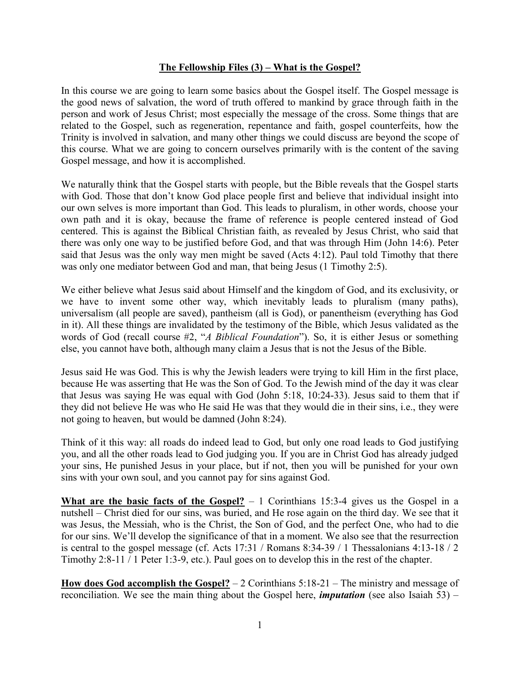## **The Fellowship Files (3) – What is the Gospel?**

In this course we are going to learn some basics about the Gospel itself. The Gospel message is the good news of salvation, the word of truth offered to mankind by grace through faith in the person and work of Jesus Christ; most especially the message of the cross. Some things that are related to the Gospel, such as regeneration, repentance and faith, gospel counterfeits, how the Trinity is involved in salvation, and many other things we could discuss are beyond the scope of this course. What we are going to concern ourselves primarily with is the content of the saving Gospel message, and how it is accomplished.

We naturally think that the Gospel starts with people, but the Bible reveals that the Gospel starts with God. Those that don't know God place people first and believe that individual insight into our own selves is more important than God. This leads to pluralism, in other words, choose your own path and it is okay, because the frame of reference is people centered instead of God centered. This is against the Biblical Christian faith, as revealed by Jesus Christ, who said that there was only one way to be justified before God, and that was through Him (John 14:6). Peter said that Jesus was the only way men might be saved (Acts 4:12). Paul told Timothy that there was only one mediator between God and man, that being Jesus (1 Timothy 2:5).

We either believe what Jesus said about Himself and the kingdom of God, and its exclusivity, or we have to invent some other way, which inevitably leads to pluralism (many paths), universalism (all people are saved), pantheism (all is God), or panentheism (everything has God in it). All these things are invalidated by the testimony of the Bible, which Jesus validated as the words of God (recall course #2, "*A Biblical Foundation*"). So, it is either Jesus or something else, you cannot have both, although many claim a Jesus that is not the Jesus of the Bible.

Jesus said He was God. This is why the Jewish leaders were trying to kill Him in the first place, because He was asserting that He was the Son of God. To the Jewish mind of the day it was clear that Jesus was saying He was equal with God (John 5:18, 10:24-33). Jesus said to them that if they did not believe He was who He said He was that they would die in their sins, i.e., they were not going to heaven, but would be damned (John 8:24).

Think of it this way: all roads do indeed lead to God, but only one road leads to God justifying you, and all the other roads lead to God judging you. If you are in Christ God has already judged your sins, He punished Jesus in your place, but if not, then you will be punished for your own sins with your own soul, and you cannot pay for sins against God.

**What are the basic facts of the Gospel?** – 1 Corinthians 15:3-4 gives us the Gospel in a nutshell – Christ died for our sins, was buried, and He rose again on the third day. We see that it was Jesus, the Messiah, who is the Christ, the Son of God, and the perfect One, who had to die for our sins. We'll develop the significance of that in a moment. We also see that the resurrection is central to the gospel message (cf. Acts 17:31 / Romans 8:34-39 / 1 Thessalonians 4:13-18 / 2 Timothy 2:8-11 / 1 Peter 1:3-9, etc.). Paul goes on to develop this in the rest of the chapter.

**How does God accomplish the Gospel?** – 2 Corinthians 5:18-21 – The ministry and message of reconciliation. We see the main thing about the Gospel here, *imputation* (see also Isaiah 53) –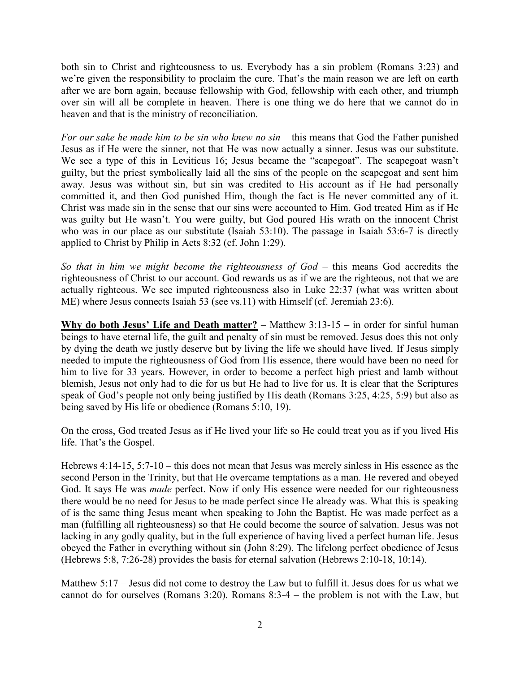both sin to Christ and righteousness to us. Everybody has a sin problem (Romans 3:23) and we're given the responsibility to proclaim the cure. That's the main reason we are left on earth after we are born again, because fellowship with God, fellowship with each other, and triumph over sin will all be complete in heaven. There is one thing we do here that we cannot do in heaven and that is the ministry of reconciliation.

*For our sake he made him to be sin who knew no sin* – this means that God the Father punished Jesus as if He were the sinner, not that He was now actually a sinner. Jesus was our substitute. We see a type of this in Leviticus 16; Jesus became the "scapegoat". The scapegoat wasn't guilty, but the priest symbolically laid all the sins of the people on the scapegoat and sent him away. Jesus was without sin, but sin was credited to His account as if He had personally committed it, and then God punished Him, though the fact is He never committed any of it. Christ was made sin in the sense that our sins were accounted to Him. God treated Him as if He was guilty but He wasn't. You were guilty, but God poured His wrath on the innocent Christ who was in our place as our substitute (Isaiah 53:10). The passage in Isaiah 53:6-7 is directly applied to Christ by Philip in Acts 8:32 (cf. John 1:29).

*So that in him we might become the righteousness of God* – this means God accredits the righteousness of Christ to our account. God rewards us as if we are the righteous, not that we are actually righteous. We see imputed righteousness also in Luke 22:37 (what was written about ME) where Jesus connects Isaiah 53 (see vs.11) with Himself (cf. Jeremiah 23:6).

**Why do both Jesus' Life and Death matter?** – Matthew 3:13-15 – in order for sinful human beings to have eternal life, the guilt and penalty of sin must be removed. Jesus does this not only by dying the death we justly deserve but by living the life we should have lived. If Jesus simply needed to impute the righteousness of God from His essence, there would have been no need for him to live for 33 years. However, in order to become a perfect high priest and lamb without blemish, Jesus not only had to die for us but He had to live for us. It is clear that the Scriptures speak of God's people not only being justified by His death (Romans 3:25, 4:25, 5:9) but also as being saved by His life or obedience (Romans 5:10, 19).

On the cross, God treated Jesus as if He lived your life so He could treat you as if you lived His life. That's the Gospel.

Hebrews 4:14-15, 5:7-10 – this does not mean that Jesus was merely sinless in His essence as the second Person in the Trinity, but that He overcame temptations as a man. He revered and obeyed God. It says He was *made* perfect. Now if only His essence were needed for our righteousness there would be no need for Jesus to be made perfect since He already was. What this is speaking of is the same thing Jesus meant when speaking to John the Baptist. He was made perfect as a man (fulfilling all righteousness) so that He could become the source of salvation. Jesus was not lacking in any godly quality, but in the full experience of having lived a perfect human life. Jesus obeyed the Father in everything without sin (John 8:29). The lifelong perfect obedience of Jesus (Hebrews 5:8, 7:26-28) provides the basis for eternal salvation (Hebrews 2:10-18, 10:14).

Matthew 5:17 – Jesus did not come to destroy the Law but to fulfill it. Jesus does for us what we cannot do for ourselves (Romans 3:20). Romans 8:3-4 – the problem is not with the Law, but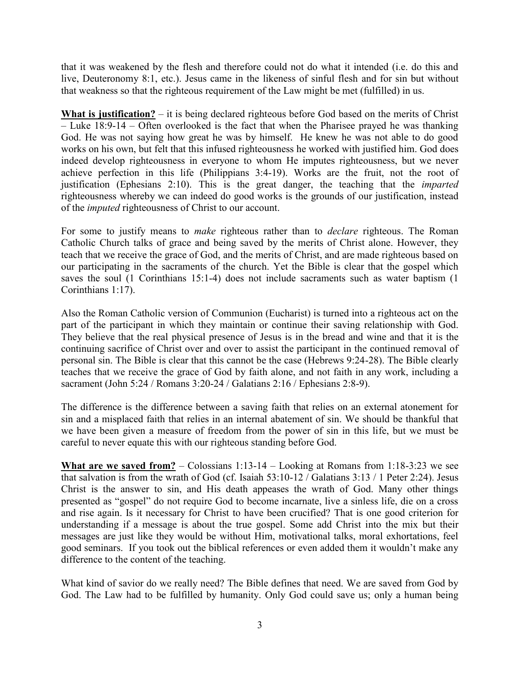that it was weakened by the flesh and therefore could not do what it intended (i.e. do this and live, Deuteronomy 8:1, etc.). Jesus came in the likeness of sinful flesh and for sin but without that weakness so that the righteous requirement of the Law might be met (fulfilled) in us.

**What is justification?** – it is being declared righteous before God based on the merits of Christ – Luke 18:9-14 – Often overlooked is the fact that when the Pharisee prayed he was thanking God. He was not saying how great he was by himself. He knew he was not able to do good works on his own, but felt that this infused righteousness he worked with justified him. God does indeed develop righteousness in everyone to whom He imputes righteousness, but we never achieve perfection in this life (Philippians 3:4-19). Works are the fruit, not the root of justification (Ephesians 2:10). This is the great danger, the teaching that the *imparted*  righteousness whereby we can indeed do good works is the grounds of our justification, instead of the *imputed* righteousness of Christ to our account.

For some to justify means to *make* righteous rather than to *declare* righteous. The Roman Catholic Church talks of grace and being saved by the merits of Christ alone. However, they teach that we receive the grace of God, and the merits of Christ, and are made righteous based on our participating in the sacraments of the church. Yet the Bible is clear that the gospel which saves the soul (1 Corinthians 15:1-4) does not include sacraments such as water baptism (1 Corinthians 1:17).

Also the Roman Catholic version of Communion (Eucharist) is turned into a righteous act on the part of the participant in which they maintain or continue their saving relationship with God. They believe that the real physical presence of Jesus is in the bread and wine and that it is the continuing sacrifice of Christ over and over to assist the participant in the continued removal of personal sin. The Bible is clear that this cannot be the case (Hebrews 9:24-28). The Bible clearly teaches that we receive the grace of God by faith alone, and not faith in any work, including a sacrament (John 5:24 / Romans 3:20-24 / Galatians 2:16 / Ephesians 2:8-9).

The difference is the difference between a saving faith that relies on an external atonement for sin and a misplaced faith that relies in an internal abatement of sin. We should be thankful that we have been given a measure of freedom from the power of sin in this life, but we must be careful to never equate this with our righteous standing before God.

**What are we saved from?** – Colossians 1:13-14 – Looking at Romans from 1:18-3:23 we see that salvation is from the wrath of God (cf. Isaiah 53:10-12 / Galatians 3:13 / 1 Peter 2:24). Jesus Christ is the answer to sin, and His death appeases the wrath of God. Many other things presented as "gospel" do not require God to become incarnate, live a sinless life, die on a cross and rise again. Is it necessary for Christ to have been crucified? That is one good criterion for understanding if a message is about the true gospel. Some add Christ into the mix but their messages are just like they would be without Him, motivational talks, moral exhortations, feel good seminars. If you took out the biblical references or even added them it wouldn't make any difference to the content of the teaching.

What kind of savior do we really need? The Bible defines that need. We are saved from God by God. The Law had to be fulfilled by humanity. Only God could save us; only a human being